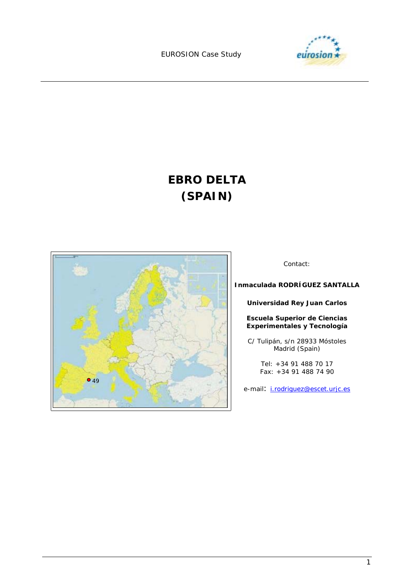

# **EBRO DELTA (SPAIN)**



Contact:

**Inmaculada RODRÍGUEZ SANTALLA** 

**Universidad Rey Juan Carlos** 

**Escuela Superior de Ciencias Experimentales y Tecnología** 

C/ Tulipán, s/n 28933 Móstoles Madrid (Spain)

> Tel: +34 91 488 70 17 Fax: +34 91 488 74 90

e-mail: *i.rodriguez@escet.urjc.es*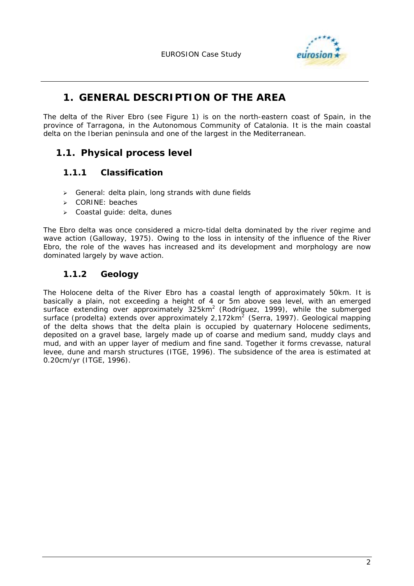

# **1. GENERAL DESCRIPTION OF THE AREA**

The delta of the River Ebro (see Figure 1) is on the north-eastern coast of Spain, in the province of Tarragona, in the Autonomous Community of Catalonia. It is the main coastal delta on the Iberian peninsula and one of the largest in the Mediterranean.

# **1.1. Physical process level**

## **1.1.1 Classification**

- $\triangleright$  General: delta plain, long strands with dune fields
- > CORINE: beaches
- > Coastal guide: delta, dunes

The Ebro delta was once considered a micro-tidal delta dominated by the river regime and wave action (Galloway, 1975). Owing to the loss in intensity of the influence of the River Ebro, the role of the waves has increased and its development and morphology are now dominated largely by wave action.

# **1.1.2 Geology**

The Holocene delta of the River Ebro has a coastal length of approximately 50km. It is basically a plain, not exceeding a height of 4 or 5m above sea level, with an emerged surface extending over approximately 325km<sup>2</sup> (Rodríguez, 1999), while the submerged surface (prodelta) extends over approximately  $2.172 \text{km}^2$  (Serra, 1997). Geological mapping of the delta shows that the delta plain is occupied by quaternary Holocene sediments, deposited on a gravel base, largely made up of coarse and medium sand, muddy clays and mud, and with an upper layer of medium and fine sand. Together it forms crevasse, natural levee, dune and marsh structures (ITGE, 1996). The subsidence of the area is estimated at 0.20cm/yr (ITGE, 1996).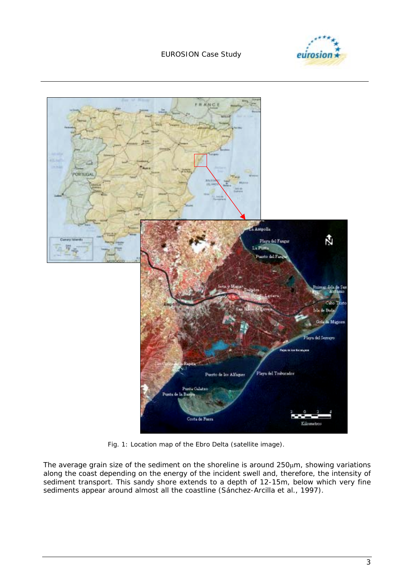





*Fig. 1: Location map of the Ebro Delta (satellite image).* 

The average grain size of the sediment on the shoreline is around 250µm, showing variations along the coast depending on the energy of the incident swell and, therefore, the intensity of sediment transport. This sandy shore extends to a depth of 12-15m, below which very fine sediments appear around almost all the coastline (Sánchez-Arcilla *et al.*, 1997).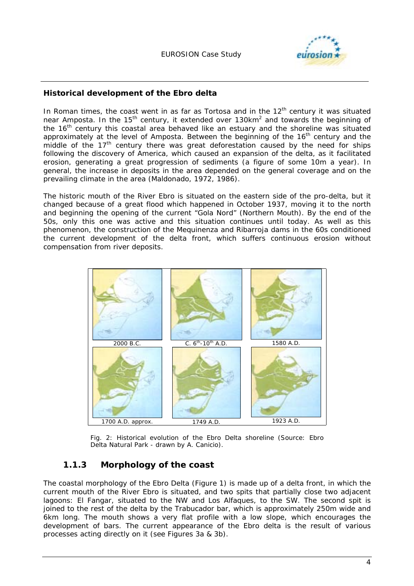

#### **Historical development of the Ebro delta**

In Roman times, the coast went in as far as Tortosa and in the  $12<sup>th</sup>$  century it was situated near Amposta. In the 15<sup>th</sup> century, it extended over 130km<sup>2</sup> and towards the beginning of the 16<sup>th</sup> century this coastal area behaved like an estuary and the shoreline was situated approximately at the level of Amposta. Between the beginning of the  $16<sup>th</sup>$  century and the  $m$ iddle of the 17<sup>th</sup> century there was great deforestation caused by the need for ships following the discovery of America, which caused an expansion of the delta, as it facilitated erosion, generating a great progression of sediments (a figure of some 10m a year). In general, the increase in deposits in the area depended on the general coverage and on the prevailing climate in the area (Maldonado, 1972, 1986).

The historic mouth of the River Ebro is situated on the eastern side of the pro-delta, but it changed because of a great flood which happened in October 1937, moving it to the north and beginning the opening of the current "Gola Nord" (Northern Mouth). By the end of the 50s, only this one was active and this situation continues until today. As well as this phenomenon, the construction of the Mequinenza and Ribarroja dams in the 60s conditioned the current development of the delta front, which suffers continuous erosion without compensation from river deposits.



*Fig. 2: Historical evolution of the Ebro Delta shoreline (Source: Ebro Delta Natural Park - drawn by A. Canicio).* 

### **1.1.3 Morphology of the coast**

The coastal morphology of the Ebro Delta (Figure 1) is made up of a delta front, in which the current mouth of the River Ebro is situated, and two spits that partially close two adjacent lagoons: El Fangar, situated to the NW and Los Alfaques, to the SW. The second spit is joined to the rest of the delta by the Trabucador bar, which is approximately 250m wide and 6km long. The mouth shows a very flat profile with a low slope, which encourages the development of bars. The current appearance of the Ebro delta is the result of various processes acting directly on it (see Figures 3a & 3b).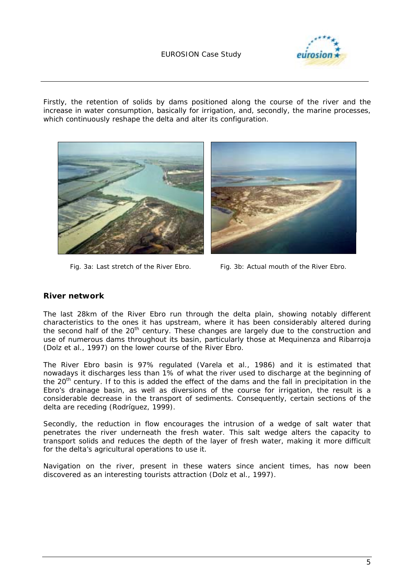

Firstly, the retention of solids by dams positioned along the course of the river and the increase in water consumption, basically for irrigation, and, secondly, the marine processes, which continuously reshape the delta and alter its configuration.



*Fig. 3a: Last stretch of the River Ebro. Fig. 3b: Actual mouth of the River Ebro.* 

#### **River network**

The last 28km of the River Ebro run through the delta plain, showing notably different characteristics to the ones it has upstream, where it has been considerably altered during the second half of the  $20<sup>th</sup>$  century. These changes are largely due to the construction and use of numerous dams throughout its basin, particularly those at Mequinenza and Ribarroja (Dolz *et al*., 1997) on the lower course of the River Ebro.

The River Ebro basin is 97% regulated (Varela *et al*., 1986) and it is estimated that nowadays it discharges less than 1% of what the river used to discharge at the beginning of the 20<sup>th</sup> century. If to this is added the effect of the dams and the fall in precipitation in the Ebro's drainage basin, as well as diversions of the course for irrigation, the result is a considerable decrease in the transport of sediments. Consequently, certain sections of the delta are receding (Rodríguez, 1999).

Secondly, the reduction in flow encourages the intrusion of a wedge of salt water that penetrates the river underneath the fresh water. This salt wedge alters the capacity to transport solids and reduces the depth of the layer of fresh water, making it more difficult for the delta's agricultural operations to use it.

Navigation on the river, present in these waters since ancient times, has now been discovered as an interesting tourists attraction (Dolz *et al.*, 1997).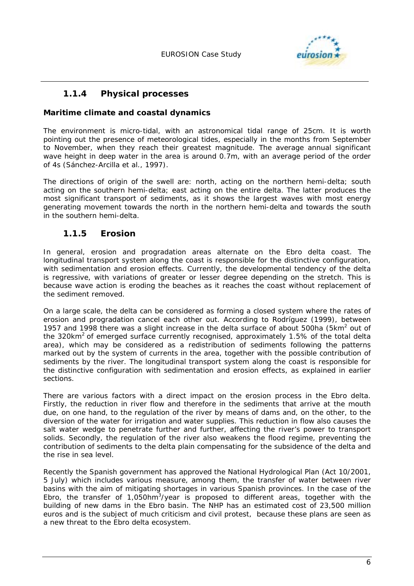

### **1.1.4 Physical processes**

#### **Maritime climate and coastal dynamics**

The environment is micro-tidal, with an astronomical tidal range of 25cm. It is worth pointing out the presence of meteorological tides, especially in the months from September to November, when they reach their greatest magnitude. The average annual significant wave height in deep water in the area is around 0.7m, with an average period of the order of 4s (Sánchez-Arcilla *et al.*, 1997).

The directions of origin of the swell are: north, acting on the northern hemi-delta; south acting on the southern hemi-delta; east acting on the entire delta. The latter produces the most significant transport of sediments, as it shows the largest waves with most energy generating movement towards the north in the northern hemi-delta and towards the south in the southern hemi-delta.

### **1.1.5 Erosion**

In general, erosion and progradation areas alternate on the Ebro delta coast. The longitudinal transport system along the coast is responsible for the distinctive configuration, with sedimentation and erosion effects. Currently, the developmental tendency of the delta is regressive, with variations of greater or lesser degree depending on the stretch. This is because wave action is eroding the beaches as it reaches the coast without replacement of the sediment removed.

On a large scale, the delta can be considered as forming a closed system where the rates of erosion and progradation cancel each other out. According to Rodríguez (1999), between 1957 and 1998 there was a slight increase in the delta surface of about 500ha (5 $km^2$  out of the 320km<sup>2</sup> of emerged surface currently recognised, approximately 1.5% of the total delta area), which may be considered as a redistribution of sediments following the patterns marked out by the system of currents in the area, together with the possible contribution of sediments by the river. The longitudinal transport system along the coast is responsible for the distinctive configuration with sedimentation and erosion effects, as explained in earlier sections.

There are various factors with a direct impact on the erosion process in the Ebro delta. Firstly, the reduction in river flow and therefore in the sediments that arrive at the mouth due, on one hand, to the regulation of the river by means of dams and, on the other, to the diversion of the water for irrigation and water supplies. This reduction in flow also causes the salt water wedge to penetrate further and further, affecting the river's power to transport solids. Secondly, the regulation of the river also weakens the flood regime, preventing the contribution of sediments to the delta plain compensating for the subsidence of the delta and the rise in sea level.

Recently the Spanish government has approved the National Hydrological Plan (Act 10/2001, 5 July) which includes various measure, among them, the transfer of water between river basins with the aim of mitigating shortages in various Spanish provinces. In the case of the Ebro, the transfer of 1,050hm<sup>3</sup>/year is proposed to different areas, together with the building of new dams in the Ebro basin. The NHP has an estimated cost of 23,500 million euros and is the subject of much criticism and civil protest, because these plans are seen as a new threat to the Ebro delta ecosystem.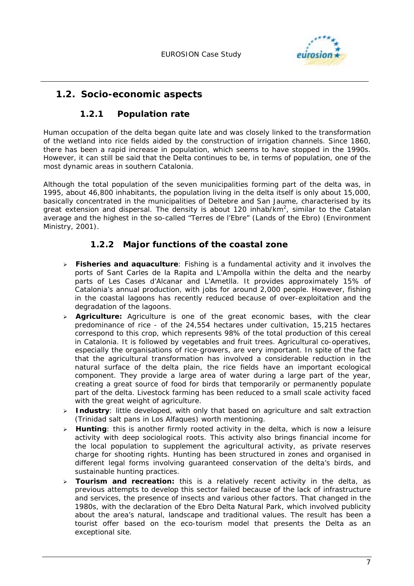

# **1.2. Socio-economic aspects**

# **1.2.1 Population rate**

Human occupation of the delta began quite late and was closely linked to the transformation of the wetland into rice fields aided by the construction of irrigation channels. Since 1860, there has been a rapid increase in population, which seems to have stopped in the 1990s. However, it can still be said that the Delta continues to be, in terms of population, one of the most dynamic areas in southern Catalonia.

Although the total population of the seven municipalities forming part of the delta was, in 1995, about 46,800 inhabitants, the population living in the delta itself is only about 15,000, basically concentrated in the municipalities of Deltebre and San Jaume, characterised by its great extension and dispersal. The density is about 120 inhab/km<sup>2</sup>, similar to the Catalan average and the highest in the so-called "Terres de l'Ebre" (Lands of the Ebro) (Environment Ministry, 2001).

## **1.2.2 Major functions of the coastal zone**

- ! **Fisheries and aquaculture***:* Fishing is a fundamental activity and it involves the ports of Sant Carles de la Rapita and L'Ampolla within the delta and the nearby parts of Les Cases d'Alcanar and L'Ametlla. It provides approximately 15% of Catalonia's annual production, with jobs for around 2,000 people. However, fishing in the coastal lagoons has recently reduced because of over-exploitation and the degradation of the lagoons.
- ! **Agriculture:** Agriculture is one of the great economic bases, with the clear predominance of rice - of the 24,554 hectares under cultivation, 15,215 hectares correspond to this crop, which represents 98% of the total production of this cereal in Catalonia. It is followed by vegetables and fruit trees. Agricultural co-operatives, especially the organisations of rice-growers, are very important. In spite of the fact that the agricultural transformation has involved a considerable reduction in the natural surface of the delta plain, the rice fields have an important ecological component. They provide a large area of water during a large part of the year, creating a great source of food for birds that temporarily or permanently populate part of the delta. Livestock farming has been reduced to a small scale activity faced with the great weight of agriculture.
- > **Industry**: little developed, with only that based on agriculture and salt extraction (Trinidad salt pans in Los Alfaques) worth mentioning.
- ! **Hunting***:* this is another firmly rooted activity in the delta, which is now a leisure activity with deep sociological roots. This activity also brings financial income for the local population to supplement the agricultural activity, as private reserves charge for shooting rights. Hunting has been structured in zones and organised in different legal forms involving guaranteed conservation of the delta's birds, and sustainable hunting practices.
- ! **Tourism and recreation:** this is a relatively recent activity in the delta, as previous attempts to develop this sector failed because of the lack of infrastructure and services, the presence of insects and various other factors. That changed in the 1980s, with the declaration of the Ebro Delta Natural Park, which involved publicity about the area's natural, landscape and traditional values. The result has been a tourist offer based on the eco-tourism model that presents the Delta as an exceptional site.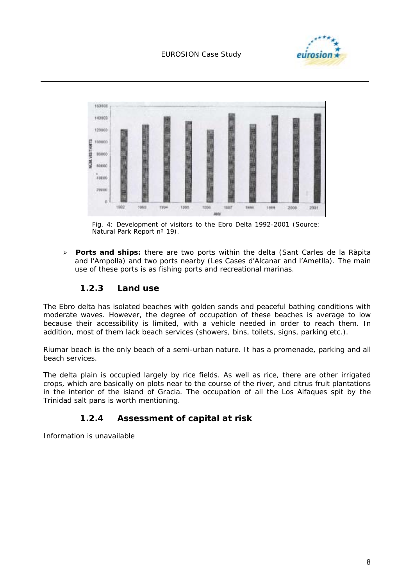



*Fig. 4: Development of visitors to the Ebro Delta 1992-2001 (Source: Natural Park Report nº 19).* 

! **Ports and ships:** there are two ports within the delta (Sant Carles de la Ràpita and l'Ampolla) and two ports nearby (Les Cases d'Alcanar and l'Ametlla). The main use of these ports is as fishing ports and recreational marinas.

### **1.2.3 Land use**

The Ebro delta has isolated beaches with golden sands and peaceful bathing conditions with moderate waves. However, the degree of occupation of these beaches is average to low because their accessibility is limited, with a vehicle needed in order to reach them. In addition, most of them lack beach services (showers, bins, toilets, signs, parking etc.).

Riumar beach is the only beach of a semi-urban nature. It has a promenade, parking and all beach services.

The delta plain is occupied largely by rice fields. As well as rice, there are other irrigated crops, which are basically on plots near to the course of the river, and citrus fruit plantations in the interior of the island of Gracia. The occupation of all the Los Alfaques spit by the Trinidad salt pans is worth mentioning.

## **1.2.4 Assessment of capital at risk**

Information is unavailable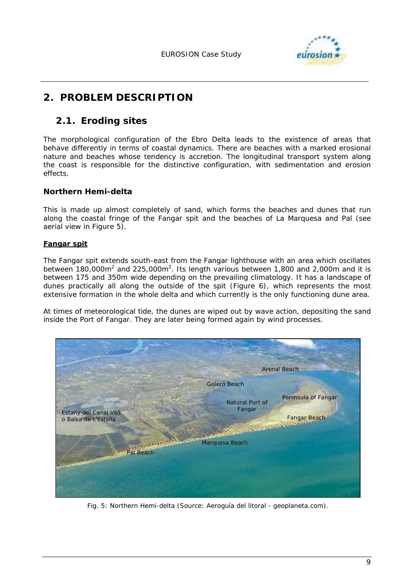

# **2. PROBLEM DESCRIPTION**

# **2.1. Eroding sites**

The morphological configuration of the Ebro Delta leads to the existence of areas that behave differently in terms of coastal dynamics. There are beaches with a marked erosional nature and beaches whose tendency is accretion. The longitudinal transport system along the coast is responsible for the distinctive configuration, with sedimentation and erosion effects.

### **Northern Hemi-delta**

This is made up almost completely of sand, which forms the beaches and dunes that run along the coastal fringe of the Fangar spit and the beaches of La Marquesa and Pal (see aerial view in Figure 5).

#### **Fangar spit**

The Fangar spit extends south-east from the Fangar lighthouse with an area which oscillates between 180,000m<sup>2</sup> and 225,000m<sup>2</sup>. Its length various between 1,800 and 2,000m and it is between 175 and 350m wide depending on the prevailing climatology. It has a landscape of dunes practically all along the outside of the spit (Figure 6), which represents the most extensive formation in the whole delta and which currently is the only functioning dune area.

At times of meteorological tide, the dunes are wiped out by wave action, depositing the sand inside the Port of Fangar. They are later being formed again by wind processes.



*Fig. 5: Northern Hemi-delta (Source: Aeroguía del litoral - geoplaneta.com).*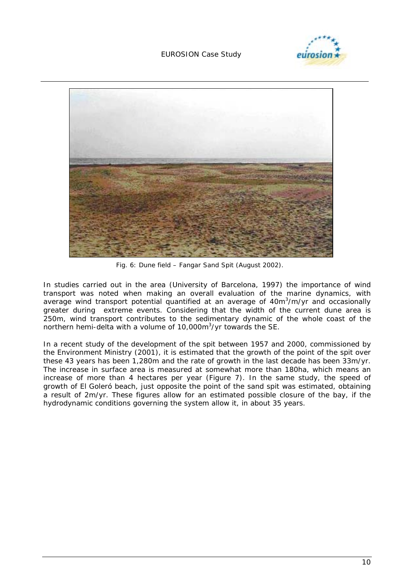



*Fig. 6: Dune field – Fangar Sand Spit (August 2002).* 

In studies carried out in the area (University of Barcelona, 1997) the importance of wind transport was noted when making an overall evaluation of the marine dynamics, with average wind transport potential quantified at an average of 40m<sup>3</sup>/m/yr and occasionally greater during extreme events. Considering that the width of the current dune area is 250m, wind transport contributes to the sedimentary dynamic of the whole coast of the northern hemi-delta with a volume of 10,000m<sup>3</sup>/yr towards the SE.

In a recent study of the development of the spit between 1957 and 2000, commissioned by the Environment Ministry (2001), it is estimated that the growth of the point of the spit over these 43 years has been 1,280m and the rate of growth in the last decade has been 33m/yr. The increase in surface area is measured at somewhat more than 180ha, which means an increase of more than 4 hectares per year (Figure 7). In the same study, the speed of growth of El Goleró beach, just opposite the point of the sand spit was estimated, obtaining a result of 2m/yr. These figures allow for an estimated possible closure of the bay, if the hydrodynamic conditions governing the system allow it, in about 35 years.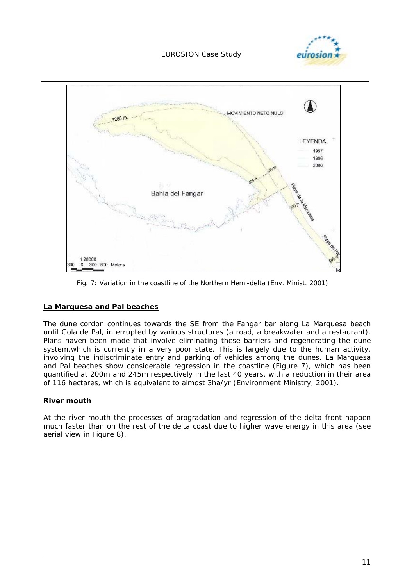



*Fig. 7: Variation in the coastline of the Northern Hemi-delta (Env. Minist. 2001)* 

#### **La Marquesa and Pal beaches**

The dune cordon continues towards the SE from the Fangar bar along La Marquesa beach until Gola de Pal, interrupted by various structures (a road, a breakwater and a restaurant). Plans haven been made that involve eliminating these barriers and regenerating the dune system,which is currently in a very poor state. This is largely due to the human activity, involving the indiscriminate entry and parking of vehicles among the dunes. La Marquesa and Pal beaches show considerable regression in the coastline (Figure 7), which has been quantified at 200m and 245m respectively in the last 40 years, with a reduction in their area of 116 hectares, which is equivalent to almost 3ha/yr (Environment Ministry, 2001).

#### **River mouth**

At the river mouth the processes of progradation and regression of the delta front happen much faster than on the rest of the delta coast due to higher wave energy in this area (see aerial view in Figure 8).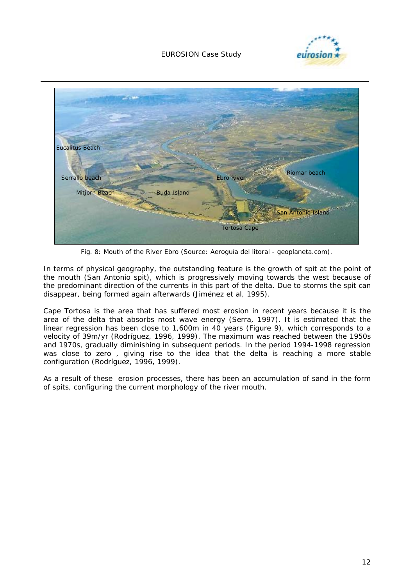



*Fig. 8: Mouth of the River Ebro (Source: Aeroguía del litoral - geoplaneta.com).* 

In terms of physical geography, the outstanding feature is the growth of spit at the point of the mouth (San Antonio spit), which is progressively moving towards the west because of the predominant direction of the currents in this part of the delta. Due to storms the spit can disappear, being formed again afterwards (Jiménez et al, 1995).

Cape Tortosa is the area that has suffered most erosion in recent years because it is the area of the delta that absorbs most wave energy (Serra, 1997). It is estimated that the linear regression has been close to 1,600m in 40 years (Figure 9), which corresponds to a velocity of 39m/yr (Rodríguez, 1996, 1999). The maximum was reached between the 1950s and 1970s, gradually diminishing in subsequent periods. In the period 1994-1998 regression was close to zero , giving rise to the idea that the delta is reaching a more stable configuration (Rodríguez, 1996, 1999).

As a result of these erosion processes, there has been an accumulation of sand in the form of spits, configuring the current morphology of the river mouth.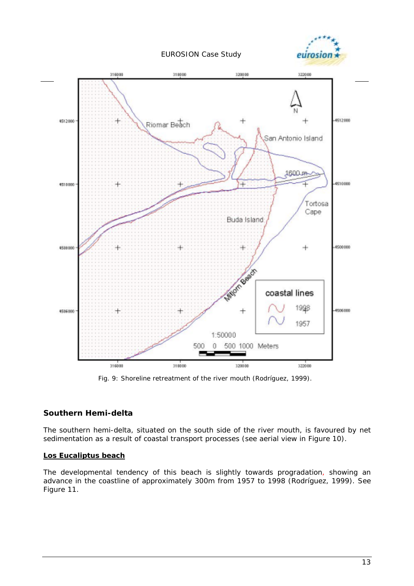



*Fig. 9: Shoreline retreatment of the river mouth (Rodríguez, 1999).* 

### **Southern Hemi-delta**

The southern hemi-delta, situated on the south side of the river mouth, is favoured by net sedimentation as a result of coastal transport processes (see aerial view in Figure 10).

#### **Los Eucaliptus beach**

The developmental tendency of this beach is slightly towards progradation, showing an advance in the coastline of approximately 300m from 1957 to 1998 (Rodríguez, 1999). See Figure 11.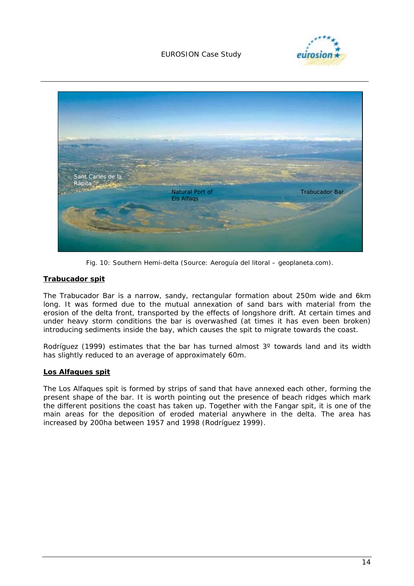



*Fig. 10: Southern Hemi-delta (Source: Aeroguía del litoral – geoplaneta.com).* 

#### **Trabucador spit**

The Trabucador Bar is a narrow, sandy, rectangular formation about 250m wide and 6km long. It was formed due to the mutual annexation of sand bars with material from the erosion of the delta front, transported by the effects of longshore drift. At certain times and under heavy storm conditions the bar is overwashed (at times it has even been broken) introducing sediments inside the bay, which causes the spit to migrate towards the coast.

Rodríguez (1999) estimates that the bar has turned almost 3° towards land and its width has slightly reduced to an average of approximately 60m.

#### **Los Alfaques spit**

The Los Alfaques spit is formed by strips of sand that have annexed each other, forming the present shape of the bar. It is worth pointing out the presence of beach ridges which mark the different positions the coast has taken up. Together with the Fangar spit, it is one of the main areas for the deposition of eroded material anywhere in the delta. The area has increased by 200ha between 1957 and 1998 (Rodríguez 1999).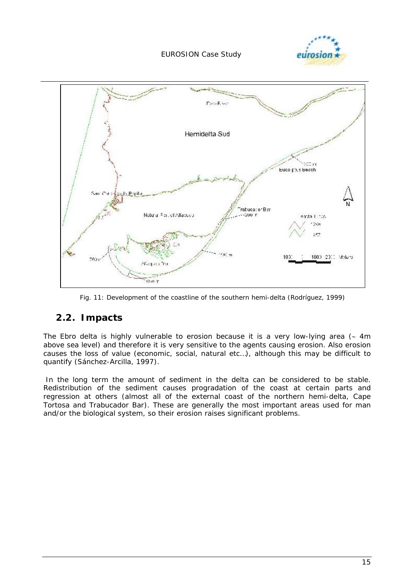



*Fig. 11: Development of the coastline of the southern hemi-delta (Rodríguez, 1999)* 

# **2.2. Impacts**

The Ebro delta is highly vulnerable to erosion because it is a very low-lying area (∼ 4m above sea level) and therefore it is very sensitive to the agents causing erosion. Also erosion causes the loss of value (economic, social, natural etc…), although this may be difficult to quantify (Sánchez-Arcilla, 1997).

 In the long term the amount of sediment in the delta can be considered to be stable. Redistribution of the sediment causes progradation of the coast at certain parts and regression at others (almost all of the external coast of the northern hemi-delta, Cape Tortosa and Trabucador Bar). These are generally the most important areas used for man and/or the biological system, so their erosion raises significant problems.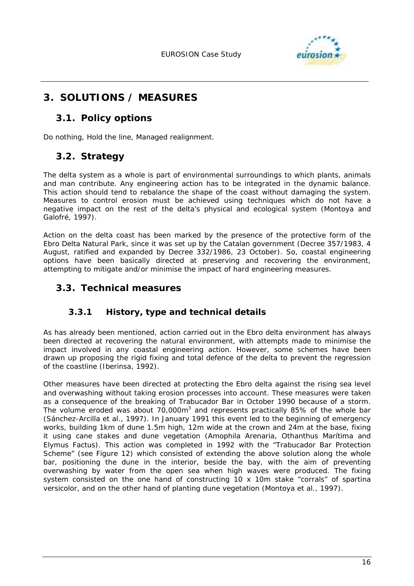

# **3. SOLUTIONS / MEASURES**

# **3.1. Policy options**

Do nothing, Hold the line, Managed realignment.

# **3.2. Strategy**

The delta system as a whole is part of environmental surroundings to which plants, animals and man contribute. Any engineering action has to be integrated in the dynamic balance. This action should tend to rebalance the shape of the coast without damaging the system. Measures to control erosion must be achieved using techniques which do not have a negative impact on the rest of the delta's physical and ecological system (Montoya and Galofré, 1997).

Action on the delta coast has been marked by the presence of the protective form of the Ebro Delta Natural Park, since it was set up by the Catalan government (Decree 357/1983, 4 August, ratified and expanded by Decree 332/1986, 23 October). So, coastal engineering options have been basically directed at preserving and recovering the environment, attempting to mitigate and/or minimise the impact of hard engineering measures.

# **3.3. Technical measures**

## **3.3.1 History, type and technical details**

As has already been mentioned, action carried out in the Ebro delta environment has always been directed at recovering the natural environment, with attempts made to minimise the impact involved in any coastal engineering action. However, some schemes have been drawn up proposing the rigid fixing and total defence of the delta to prevent the regression of the coastline (Iberinsa, 1992).

Other measures have been directed at protecting the Ebro delta against the rising sea level and overwashing without taking erosion processes into account. These measures were taken as a consequence of the breaking of Trabucador Bar in October 1990 because of a storm. The volume eroded was about 70,000 $m^3$  and represents practically 85% of the whole bar (Sánchez-Arcilla *et al*., 1997). In January 1991 this event led to the beginning of emergency works, building 1km of dune 1.5m high, 12m wide at the crown and 24m at the base, fixing it using cane stakes and dune vegetation (Amophila Arenaria, Othanthus Marítima and Elymus Factus). This action was completed in 1992 with the "Trabucador Bar Protection Scheme" (see Figure 12) which consisted of extending the above solution along the whole bar, positioning the dune in the interior, beside the bay, with the aim of preventing overwashing by water from the open sea when high waves were produced. The fixing system consisted on the one hand of constructing 10 x 10m stake "corrals" of *spartina versicolor*, and on the other hand of planting dune vegetation (Montoya *et al*., 1997).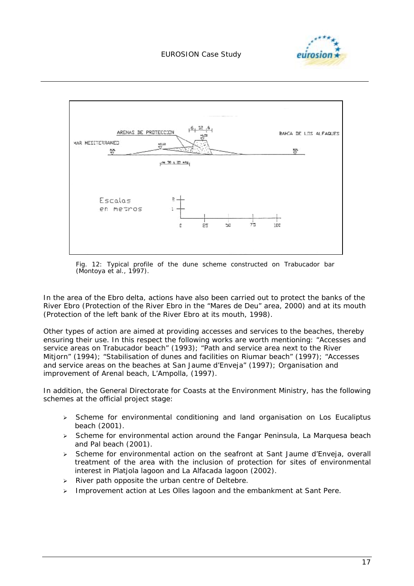



*Fig. 12: Typical profile of the dune scheme constructed on Trabucador bar (Montoya et al., 1997).* 

In the area of the Ebro delta, actions have also been carried out to protect the banks of the River Ebro (Protection of the River Ebro in the "Mares de Deu" area, 2000) and at its mouth (Protection of the left bank of the River Ebro at its mouth, 1998).

Other types of action are aimed at providing accesses and services to the beaches, thereby ensuring their use. In this respect the following works are worth mentioning: "Accesses and service areas on Trabucador beach" (1993); "Path and service area next to the River Mitjorn" (1994); "Stabilisation of dunes and facilities on Riumar beach" (1997); "Accesses and service areas on the beaches at San Jaume d'Enveja" (1997); Organisation and improvement of Arenal beach, L'Ampolla, (1997).

In addition, the General Directorate for Coasts at the Environment Ministry, has the following schemes at the official project stage:

- $\triangleright$  Scheme for environmental conditioning and land organisation on Los Eucaliptus beach (2001).
- $\triangleright$  Scheme for environmental action around the Fangar Peninsula, La Marquesa beach and Pal beach (2001).
- > Scheme for environmental action on the seafront at Sant Jaume d'Enveja, overall treatment of the area with the inclusion of protection for sites of environmental interest in Platjola lagoon and La Alfacada lagoon (2002).
- $\triangleright$  River path opposite the urban centre of Deltebre.
- > Improvement action at Les Olles lagoon and the embankment at Sant Pere.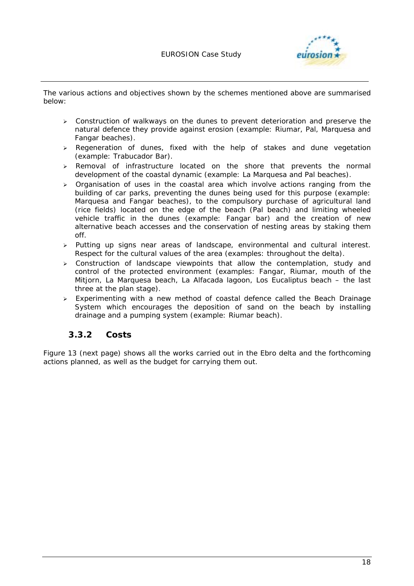

The various actions and objectives shown by the schemes mentioned above are summarised below:

- $\ge$  Construction of walkways on the dunes to prevent deterioration and preserve the natural defence they provide against erosion (example: Riumar, Pal, Marquesa and Fangar beaches).
- > Regeneration of dunes, fixed with the help of stakes and dune vegetation (example: Trabucador Bar).
- $\triangleright$  Removal of infrastructure located on the shore that prevents the normal development of the coastal dynamic (example: La Marquesa and Pal beaches).
- $\triangleright$  Organisation of uses in the coastal area which involve actions ranging from the building of car parks, preventing the dunes being used for this purpose (example: Marquesa and Fangar beaches), to the compulsory purchase of agricultural land (rice fields) located on the edge of the beach (Pal beach) and limiting wheeled vehicle traffic in the dunes (example: Fangar bar) and the creation of new alternative beach accesses and the conservation of nesting areas by staking them off.
- $\triangleright$  Putting up signs near areas of landscape, environmental and cultural interest. Respect for the cultural values of the area (examples: throughout the delta).
- $\geq$  Construction of landscape viewpoints that allow the contemplation, study and control of the protected environment (examples: Fangar, Riumar, mouth of the Mitjorn, La Marquesa beach, La Alfacada lagoon, Los Eucaliptus beach – the last three at the plan stage).
- > Experimenting with a new method of coastal defence called the Beach Drainage System which encourages the deposition of sand on the beach by installing drainage and a pumping system (example: Riumar beach).

### **3.3.2 Costs**

Figure 13 (next page) shows all the works carried out in the Ebro delta and the forthcoming actions planned, as well as the budget for carrying them out.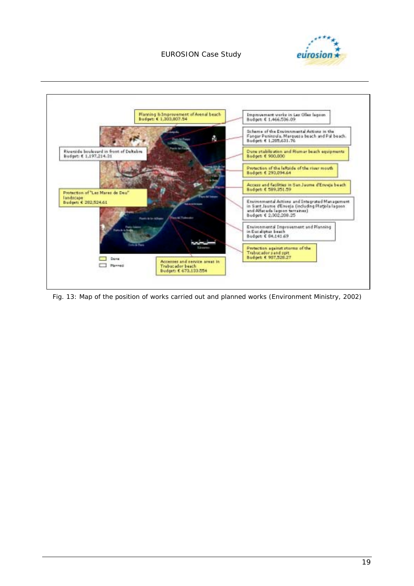



*Fig. 13: Map of the position of works carried out and planned works (Environment Ministry, 2002)*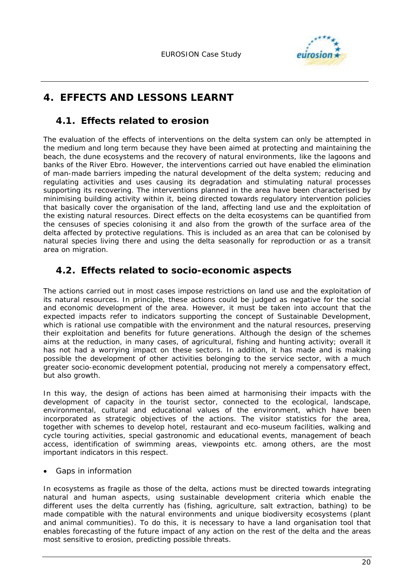

# **4. EFFECTS AND LESSONS LEARNT**

# **4.1. Effects related to erosion**

The evaluation of the effects of interventions on the delta system can only be attempted in the medium and long term because they have been aimed at protecting and maintaining the beach, the dune ecosystems and the recovery of natural environments, like the lagoons and banks of the River Ebro. However, the interventions carried out have enabled the elimination of man-made barriers impeding the natural development of the delta system; reducing and regulating activities and uses causing its degradation and stimulating natural processes supporting its recovering. The interventions planned in the area have been characterised by minimising building activity within it, being directed towards regulatory intervention policies that basically cover the organisation of the land, affecting land use and the exploitation of the existing natural resources. Direct effects on the delta ecosystems can be quantified from the censuses of species colonising it and also from the growth of the surface area of the delta affected by protective regulations. This is included as an area that can be colonised by natural species living there and using the delta seasonally for reproduction or as a transit area on migration.

# **4.2. Effects related to socio-economic aspects**

The actions carried out in most cases impose restrictions on land use and the exploitation of its natural resources. In principle, these actions could be judged as negative for the social and economic development of the area. However, it must be taken into account that the expected impacts refer to indicators supporting the concept of Sustainable Development, which is rational use compatible with the environment and the natural resources, preserving their exploitation and benefits for future generations. Although the design of the schemes aims at the reduction, in many cases, of agricultural, fishing and hunting activity; overall it has not had a worrying impact on these sectors. In addition, it has made and is making possible the development of other activities belonging to the service sector, with a much greater socio-economic development potential, producing not merely a compensatory effect, but also growth.

In this way, the design of actions has been aimed at harmonising their impacts with the development of capacity in the tourist sector, connected to the ecological, landscape, environmental, cultural and educational values of the environment, which have been incorporated as strategic objectives of the actions. The visitor statistics for the area, together with schemes to develop hotel, restaurant and eco-museum facilities, walking and cycle touring activities, special gastronomic and educational events, management of beach access, identification of swimming areas, viewpoints etc. among others, are the most important indicators in this respect.

• Gaps in information

In ecosystems as fragile as those of the delta, actions must be directed towards integrating natural and human aspects, using sustainable development criteria which enable the different uses the delta currently has (fishing, agriculture, salt extraction, bathing) to be made compatible with the natural environments and unique biodiversity ecosystems (plant and animal communities). To do this, it is necessary to have a land organisation tool that enables forecasting of the future impact of any action on the rest of the delta and the areas most sensitive to erosion, predicting possible threats.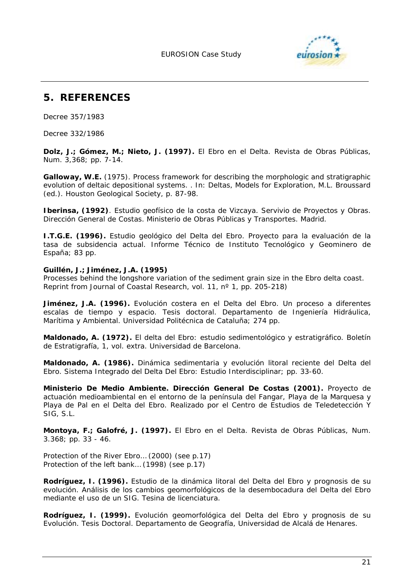

# **5. REFERENCES**

Decree 357/1983

Decree 332/1986

**Dolz, J.; Gómez, M.; Nieto, J. (1997).** *El Ebro en el Delta.* Revista de Obras Públicas, Num. 3,368; pp. 7-14.

**Galloway, W.E.** (1975). Process framework for describing the morphologic and stratigraphic evolution of deltaic depositional systems. . *In*: Deltas, Models for Exploration, M.L. Broussard (ed.). Houston Geological Society, p. 87-98.

**Iberinsa, (1992)**. Estudio geofísico de la costa de Vizcaya. Servivio de Proyectos y Obras. Dirección General de Costas. Ministerio de Obras Públicas y Transportes. Madrid.

**I.T.G.E. (1996).** *Estudio geológico del Delta del Ebro. Proyecto para la evaluación de la tasa de subsidencia actual*. Informe Técnico de Instituto Tecnológico y Geominero de España; 83 pp.

#### **Guillén, J.; Jiménez, J.A. (1995)**

*Processes behind the longshore variation of the sediment grain size in the Ebro delta coast*. Reprint from Journal of Coastal Research, vol. 11, nº 1, pp. 205-218)

**Jiménez, J.A. (1996).** *Evolución costera en el Delta del Ebro. Un proceso a diferentes escalas de tiempo y espacio*. Tesis doctoral. Departamento de Ingeniería Hidráulica, Marítima y Ambiental. Universidad Politécnica de Cataluña; 274 pp.

**Maldonado, A. (1972).** *El delta del Ebro: estudio sedimentológico y estratigráfico*. Boletín de Estratigrafía, 1, vol. extra. Universidad de Barcelona.

**Maldonado, A. (1986).** *Dinámica sedimentaria y evolución litoral reciente del Delta del Ebro.* Sistema Integrado del Delta Del Ebro: Estudio Interdisciplinar; pp. 33-60.

**Ministerio De Medio Ambiente. Dirección General De Costas (2001).** *Proyecto de actuación medioambiental en el entorno de la península del Fangar, Playa de la Marquesa y Playa de Pal en el Delta del Ebro.* Realizado por el Centro de Estudios de Teledetección Y SIG, S.L.

**Montoya, F.; Galofré, J. (1997).** *El Ebro en el Delta*. Revista de Obras Públicas, Num. 3.368; pp. 33 - 46.

Protection of the River Ebro… (2000) (see p.17) Protection of the left bank… (1998) (see p.17)

**Rodríguez, I. (1996).** *Estudio de la dinámica litoral del Delta del Ebro y prognosis de su evolución. Análisis de los cambios geomorfológicos de la desembocadura del Delta del Ebro mediante el uso de un SIG.* Tesina de licenciatura.

**Rodríguez, I. (1999).** *Evolución geomorfológica del Delta del Ebro y prognosis de su Evolución*. Tesis Doctoral. Departamento de Geografía, Universidad de Alcalá de Henares.